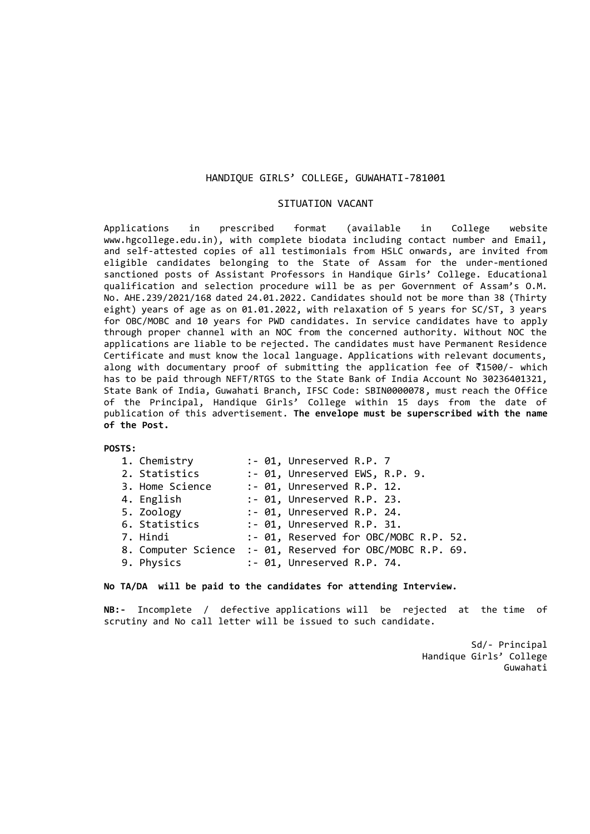### HANDIQUE GIRLS' COLLEGE, GUWAHATI-781001

#### SITUATION VACANT

Applications in prescribed format (available in College website www.hgcollege.edu.in), with complete biodata including contact number and Email, and self-attested copies of all testimonials from HSLC onwards, are invited from eligible candidates belonging to the State of Assam for the under-mentioned sanctioned posts of Assistant Professors in Handique Girls' College. Educational qualification and selection procedure will be as per Government of Assam's O.M. No. AHE.239/2021/168 dated 24.01.2022. Candidates should not be more than 38 (Thirty eight) years of age as on 01.01.2022, with relaxation of 5 years for SC/ST, 3 years for OBC/MOBC and 10 years for PWD candidates. In service candidates have to apply through proper channel with an NOC from the concerned authority. Without NOC the applications are liable to be rejected. The candidates must have Permanent Residence Certificate and must know the local language. Applications with relevant documents, along with documentary proof of submitting the application fee of  $\bar{z}$ 1500/- which has to be paid through NEFT/RTGS to the State Bank of India Account No 30236401321, State Bank of India, Guwahati Branch, IFSC Code: SBIN0000078, must reach the Office of the Principal, Handique Girls' College within 15 days from the date of publication of this advertisement. **The envelope must be superscribed with the name of the Post.**

#### **POSTS:**

| 1. Chemistry    |  | :- 01, Unreserved R.P. 7                                  |
|-----------------|--|-----------------------------------------------------------|
| 2. Statistics   |  | :- 01, Unreserved EWS, R.P. 9.                            |
| 3. Home Science |  | :- 01, Unreserved R.P. 12.                                |
| 4. English      |  | :- 01, Unreserved R.P. 23.                                |
| 5. Zoology      |  | :- 01, Unreserved R.P. 24.                                |
| 6. Statistics   |  | :- 01, Unreserved R.P. 31.                                |
| 7. Hindi        |  | :- 01, Reserved for OBC/MOBC R.P. 52.                     |
|                 |  | 8. Computer Science :- 01, Reserved for OBC/MOBC R.P. 69. |
| 9. Physics      |  | :- 01, Unreserved R.P. 74.                                |

#### **No TA/DA will be paid to the candidates for attending Interview.**

**NB:-** Incomplete / defective applications will be rejected at the time of scrutiny and No call letter will be issued to such candidate.

> Sd/- Principal Handique Girls' College Guwahati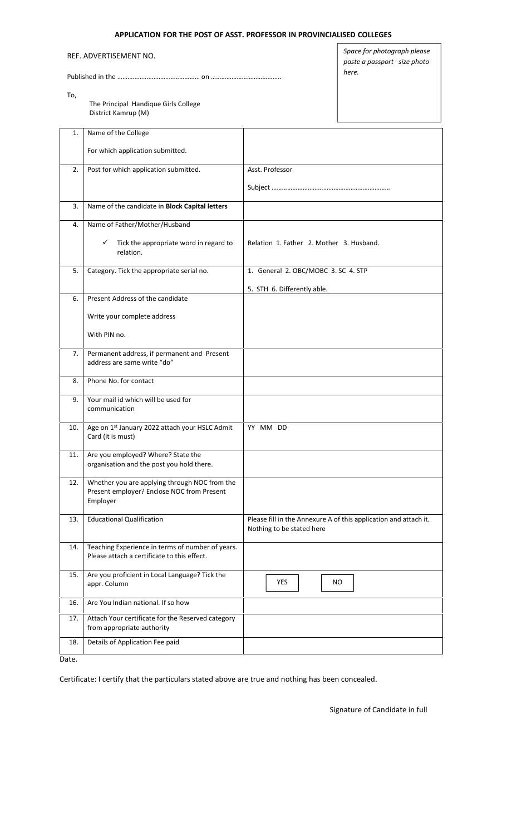# **APPLICATION FOR THE POST OF ASST. PROFESSOR IN PROVINCIALISED COLLEGES**

REF. ADVERTISEMENT NO.

Published in the ………………………………………… on …………………………………..

To,

The Principal Handique Girls College District Kamrup (M)

*Space for photograph please paste a passport size photo here.*

| 1.  | Name of the College                                                                                     |                                                                                               |  |  |
|-----|---------------------------------------------------------------------------------------------------------|-----------------------------------------------------------------------------------------------|--|--|
|     | For which application submitted.                                                                        |                                                                                               |  |  |
| 2.  | Post for which application submitted.                                                                   | Asst. Professor                                                                               |  |  |
|     |                                                                                                         |                                                                                               |  |  |
| 3.  | Name of the candidate in Block Capital letters                                                          |                                                                                               |  |  |
| 4.  | Name of Father/Mother/Husband                                                                           |                                                                                               |  |  |
|     | Tick the appropriate word in regard to<br>✓<br>relation.                                                | Relation 1. Father 2. Mother 3. Husband.                                                      |  |  |
| 5.  | Category. Tick the appropriate serial no.                                                               | 1. General 2. OBC/MOBC 3. SC 4. STP                                                           |  |  |
|     |                                                                                                         | 5. STH 6. Differently able.                                                                   |  |  |
| 6.  | Present Address of the candidate                                                                        |                                                                                               |  |  |
|     | Write your complete address                                                                             |                                                                                               |  |  |
|     | With PIN no.                                                                                            |                                                                                               |  |  |
| 7.  | Permanent address, if permanent and Present<br>address are same write "do"                              |                                                                                               |  |  |
| 8.  | Phone No. for contact                                                                                   |                                                                                               |  |  |
| 9.  | Your mail id which will be used for<br>communication                                                    |                                                                                               |  |  |
| 10. | Age on 1st January 2022 attach your HSLC Admit<br>Card (it is must)                                     | YY MM DD                                                                                      |  |  |
| 11. | Are you employed? Where? State the<br>organisation and the post you hold there.                         |                                                                                               |  |  |
| 12. | Whether you are applying through NOC from the<br>Present employer? Enclose NOC from Present<br>Employer |                                                                                               |  |  |
| 13. | <b>Educational Qualification</b>                                                                        | Please fill in the Annexure A of this application and attach it.<br>Nothing to be stated here |  |  |
| 14. | Teaching Experience in terms of number of years.<br>Please attach a certificate to this effect.         |                                                                                               |  |  |
| 15. | Are you proficient in Local Language? Tick the<br>appr. Column                                          | YES<br>NO.                                                                                    |  |  |
| 16. | Are You Indian national. If so how                                                                      |                                                                                               |  |  |
| 17. | Attach Your certificate for the Reserved category<br>from appropriate authority                         |                                                                                               |  |  |
| 18. | Details of Application Fee paid                                                                         |                                                                                               |  |  |

Date.

Certificate: I certify that the particulars stated above are true and nothing has been concealed.

Signature of Candidate in full